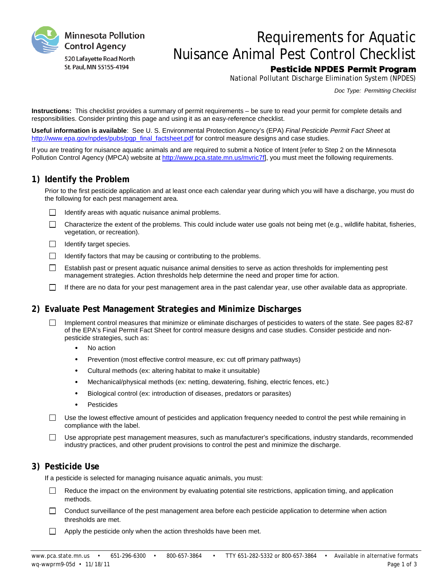

# Requirements for Aquatic Nuisance Animal Pest Control Checklist

## Pesticide NPDES Permit Program

National Pollutant Discharge Elimination System (NPDES)

*Doc Type: Permitting Checklist*

**Instructions:** This checklist provides a summary of permit requirements – be sure to read your permit for complete details and responsibilities. Consider printing this page and using it as an easy-reference checklist.

**Useful information is available**: See U. S. Environmental Protection Agency's (EPA) *Final Pesticide Permit Fact Sheet* at [http://www.epa.gov/npdes/pubs/pgp\\_final\\_factsheet.pdf](http://www.epa.gov/npdes/pubs/pgp_final_factsheet.pdf) for control measure designs and case studies.

If you are treating for nuisance aquatic animals and are required to submit a Notice of Intent [refer to Step 2 on the Minnesota Pollution Control Agency (MPCA) website at [http://www.pca.state.mn.us/mvric7f\],](http://www.pca.state.mn.us/mvric7f) you must meet the following requirements.

#### **1) Identify the Problem**

Prior to the first pesticide application and at least once each calendar year during which you will have a discharge, you must do the following for each pest management area.

- $\Box$ Identify areas with aquatic nuisance animal problems.
- $\Box$ Characterize the extent of the problems. This could include water use goals not being met (e.g., wildlife habitat, fisheries, vegetation, or recreation).
- $\Box$ Identify target species.
- $\Box$  Identify factors that may be causing or contributing to the problems.
- $\Box$ Establish past or present aquatic nuisance animal densities to serve as action thresholds for implementing pest management strategies. Action thresholds help determine the need and proper time for action.
- $\Box$ If there are no data for your pest management area in the past calendar year, use other available data as appropriate.

## **2) Evaluate Pest Management Strategies and Minimize Discharges**

- Implement control measures that minimize or eliminate discharges of pesticides to waters of the state. See pages 82-87  $\Box$ of the EPA's Final Permit Fact Sheet for control measure designs and case studies. Consider pesticide and nonpesticide strategies, such as:
	- No action
	- Prevention (most effective control measure, ex: cut off primary pathways)
	- Cultural methods (ex: altering habitat to make it unsuitable)
	- Mechanical/physical methods (ex: netting, dewatering, fishing, electric fences, etc.)
	- Biological control (ex: introduction of diseases, predators or parasites)
	- **Pesticides**
- Use the lowest effective amount of pesticides and application frequency needed to control the pest while remaining in П. compliance with the label.
- $\Box$ Use appropriate pest management measures, such as manufacturer's specifications, industry standards, recommended industry practices, and other prudent provisions to control the pest and minimize the discharge.

## **3) Pesticide Use**

If a pesticide is selected for managing nuisance aquatic animals, you must:

- $\Box$ Reduce the impact on the environment by evaluating potential site restrictions, application timing, and application methods.
- $\Box$ Conduct surveillance of the pest management area before each pesticide application to determine when action thresholds are met.
- Apply the pesticide only when the action thresholds have been met. $\Box$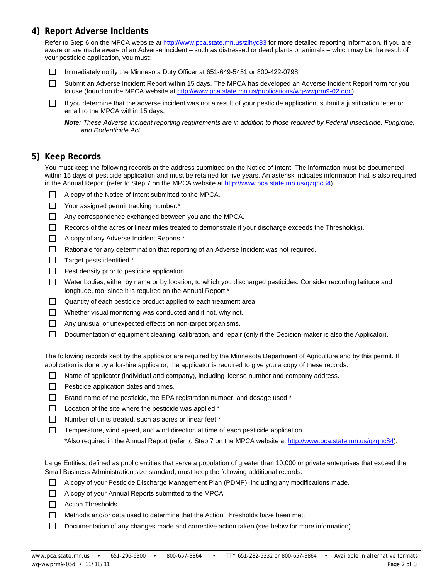### **4) Report Adverse Incidents**

Refer to Step 6 on the MPCA website at<http://www.pca.state.mn.us/zihyc83> for more detailed reporting information. If you are aware or are made aware of an Adverse Incident – such as distressed or dead plants or animals – which may be the result of your pesticide application, you must:

Immediately notify the Minnesota Duty Officer at 651-649-5451 or 800-422-0798.  $\Box$ 

 $\Box$ Submit an Adverse Incident Report within 15 days. The MPCA has developed an Adverse Incident Report form for you to use (found on the MPCA website at [http://www.pca.state.mn.us/publications/wq-wwprm9-02.doc\)](http://www.pca.state.mn.us/publications/wq-wwprm9-02.doc).

 $\Box$ If you determine that the adverse incident was not a result of your pesticide application, submit a justification letter or email to the MPCA within 15 days.

*Note: These Adverse Incident reporting requirements are in addition to those required by Federal Insecticide, Fungicide, and Rodenticide Act.*

#### **5) Keep Records**

You must keep the following records at the address submitted on the Notice of Intent. The information must be documented within 15 days of pesticide application and must be retained for five years. An asterisk indicates information that is also required in the Annual Report (refer to Step 7 on the MPCA website at [http://www.pca.state.mn.us/qzqhc84\)](http://www.pca.state.mn.us/qzqhc84).

- $\Box$  A copy of the Notice of Intent submitted to the MPCA.
- Your assigned permit tracking number.\*
- Any correspondence exchanged between you and the MPCA.
- $\Box$ Records of the acres or linear miles treated to demonstrate if your discharge exceeds the Threshold(s).
- □ A copy of any Adverse Incident Reports.<sup>\*</sup>
- $\Box$ Rationale for any determination that reporting of an Adverse Incident was not required.
- $\Box$ Target pests identified.\*
- $\Box$ Pest density prior to pesticide application.
- $\Box$ Water bodies, either by name or by location, to which you discharged pesticides. Consider recording latitude and longitude, too, since it is required on the Annual Report.\*
- $\Box$ Quantity of each pesticide product applied to each treatment area.
- $\Box$ Whether visual monitoring was conducted and if not, why not.
- $\Box$ Any unusual or unexpected effects on non-target organisms.
- П Documentation of equipment cleaning, calibration, and repair (only if the Decision-maker is also the Applicator).

The following records kept by the applicator are required by the Minnesota Department of Agriculture and by this permit. If application is done by a for-hire applicator, the applicator is required to give you a copy of these records:

- Name of applicator (individual and company), including license number and company address.
- $\Box$  Pesticide application dates and times.
- $\Box$  Brand name of the pesticide, the EPA registration number, and dosage used.\*
- $\Box$  Location of the site where the pesticide was applied.\*
- $\Box$ Number of units treated, such as acres or linear feet.\*
- $\Box$ Temperature, wind speed, and wind direction at time of each pesticide application.

\*Also required in the Annual Report (refer to Step 7 on the MPCA website a[t http://www.pca.state.mn.us/qzqhc84\)](http://www.pca.state.mn.us/qzqhc84).

Large Entities, defined as public entities that serve a population of greater than 10,000 or private enterprises that exceed the Small Business Administration size standard, must keep the following additional records:

- A copy of your Pesticide Discharge Management Plan (PDMP), including any modifications made.
- A copy of your Annual Reports submitted to the MPCA.
- $\Box$  Action Thresholds.
- $\Box$  Methods and/or data used to determine that the Action Thresholds have been met.
- $\Box$ Documentation of any changes made and corrective action taken (see below for more information).